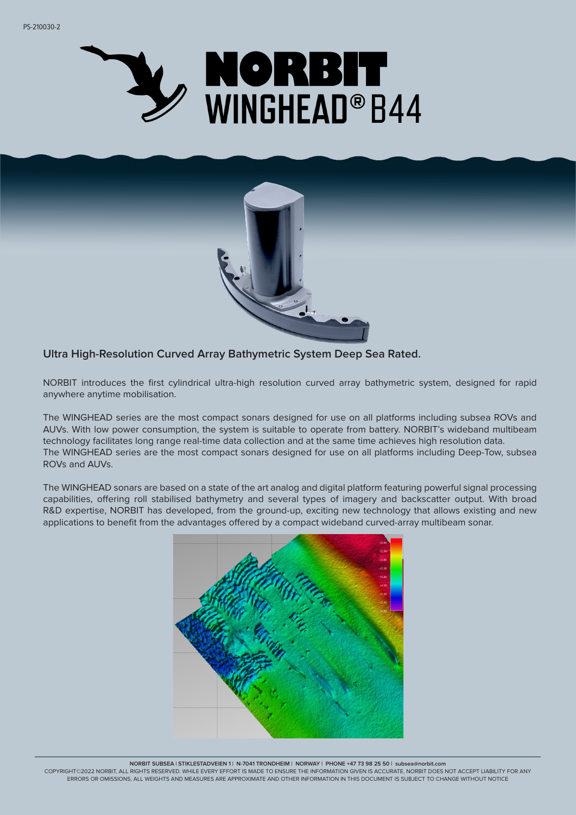



# **Ultra High-Resolution Curved Array Bathymetric System Deep Sea Rated.**

NORBIT introduces the first cylindrical ultra-high resolution curved array bathymetric system, designed for rapid anywhere anytime mobilisation.

The WINGHEAD series are the most compact sonars designed for use on all platforms including subsea ROVs and AUVs. With low power consumption, the system is suitable to operate from battery. NORBIT's wideband multibeam technology facilitates long range real-time data collection and at the same time achieves high resolution data. The WINGHEAD series are the most compact sonars designed for use on all platforms including Deep-Tow, subsea ROVs and AUVs.

The WINGHEAD sonars are based on a state of the art analog and digital platform featuring powerful signal processing capabilities, offering roll stabilised bathymetry and several types of imagery and backscatter output. With broad R&D expertise, NORBIT has developed, from the ground-up, exciting new technology that allows existing and new applications to benefit from the advantages offered by a compact wideband curved-array multibeam sonar.



**NORBIT SUBSEA | STIKLESTADVEIEN 1 | N-7041 TRONDHEIM | NORWAY | PHONE +47 73 98 25 50 | subsea@norbit.com**

COPYRIGHT©2022 NORBIT, ALL RIGHTS RESERVED. WHILE EVERY EFFORT IS MADE TO ENSURE THE INFORMATION GIVEN IS ACCURATE, NORBIT DOES NOT ACCEPT LIABILITY FOR ANY ERRORS OR OMISSIONS, ALL WEIGHTS AND MEASURES ARE APPROXIMATE AND OTHER INFORMATION IN THIS DOCUMENT IS SUBJECT TO CHANGE WITHOUT NOTICE